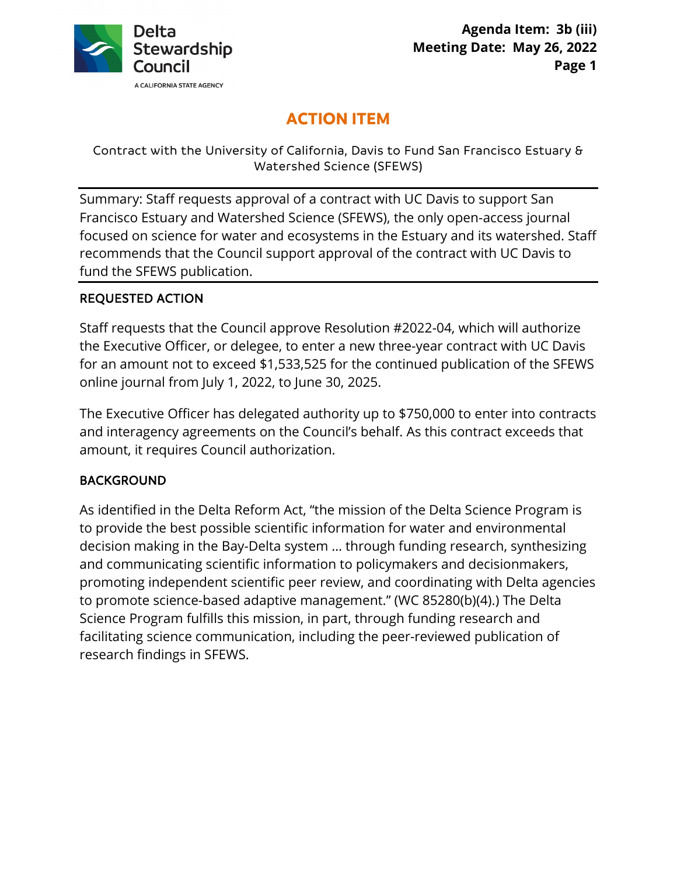

# **ACTION ITEM**

## Contract with the University of California, Davis to Fund San Francisco Estuary & Watershed Science (SFEWS)

Summary: Staff requests approval of a contract with UC Davis to support San Francisco Estuary and Watershed Science (SFEWS), the only open-access journal focused on science for water and ecosystems in the Estuary and its watershed. Staff recommends that the Council support approval of the contract with UC Davis to fund the SFEWS publication.

# REQUESTED ACTION

Staff requests that the Council approve Resolution #2022-04, which will authorize the Executive Officer, or delegee, to enter a new three-year contract with UC Davis for an amount not to exceed \$1,533,525 for the continued publication of the SFEWS online journal from July 1, 2022, to June 30, 2025.

The Executive Officer has delegated authority up to \$750,000 to enter into contracts and interagency agreements on the Council's behalf. As this contract exceeds that amount, it requires Council authorization.

## BACKGROUND

As identified in the Delta Reform Act, "the mission of the Delta Science Program is to provide the best possible scientific information for water and environmental decision making in the Bay-Delta system … through funding research, synthesizing and communicating scientific information to policymakers and decisionmakers, promoting independent scientific peer review, and coordinating with Delta agencies to promote science-based adaptive management." (WC 85280(b)(4).) The Delta Science Program fulfills this mission, in part, through funding research and facilitating science communication, including the peer-reviewed publication of research findings in SFEWS.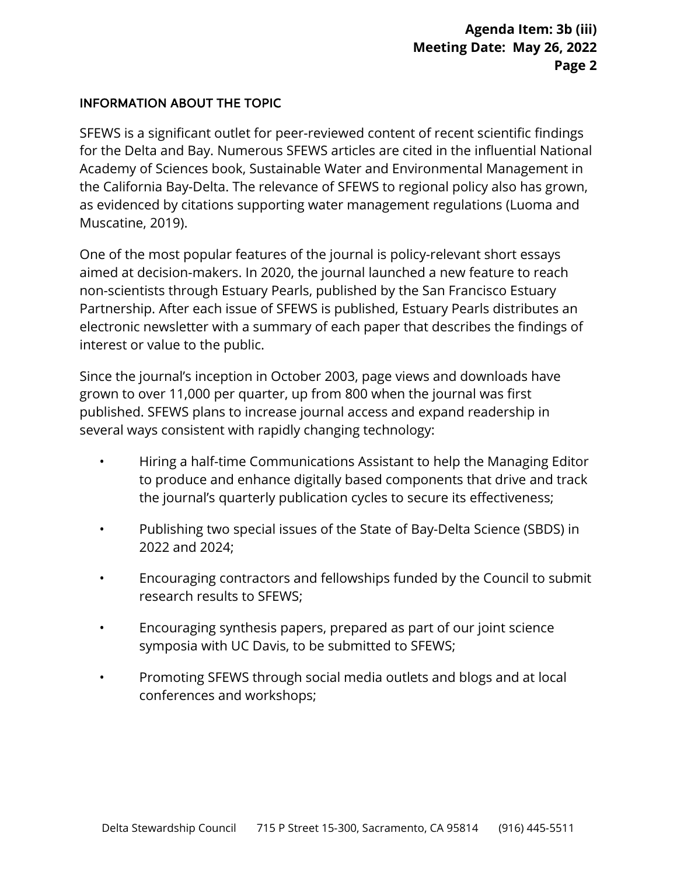## INFORMATION ABOUT THE TOPIC

SFEWS is a significant outlet for peer-reviewed content of recent scientific findings for the Delta and Bay. Numerous SFEWS articles are cited in the influential National Academy of Sciences book, Sustainable Water and Environmental Management in the California Bay-Delta. The relevance of SFEWS to regional policy also has grown, as evidenced by citations supporting water management regulations (Luoma and Muscatine, 2019).

One of the most popular features of the journal is policy-relevant short essays aimed at decision-makers. In 2020, the journal launched a new feature to reach non-scientists through Estuary Pearls, published by the San Francisco Estuary Partnership. After each issue of SFEWS is published, Estuary Pearls distributes an electronic newsletter with a summary of each paper that describes the findings of interest or value to the public.

Since the journal's inception in October 2003, page views and downloads have grown to over 11,000 per quarter, up from 800 when the journal was first published. SFEWS plans to increase journal access and expand readership in several ways consistent with rapidly changing technology:

- Hiring a half-time Communications Assistant to help the Managing Editor to produce and enhance digitally based components that drive and track the journal's quarterly publication cycles to secure its effectiveness;
- Publishing two special issues of the State of Bay-Delta Science (SBDS) in 2022 and 2024;
- Encouraging contractors and fellowships funded by the Council to submit research results to SFEWS;
- Encouraging synthesis papers, prepared as part of our joint science symposia with UC Davis, to be submitted to SFEWS;
- Promoting SFEWS through social media outlets and blogs and at local conferences and workshops;